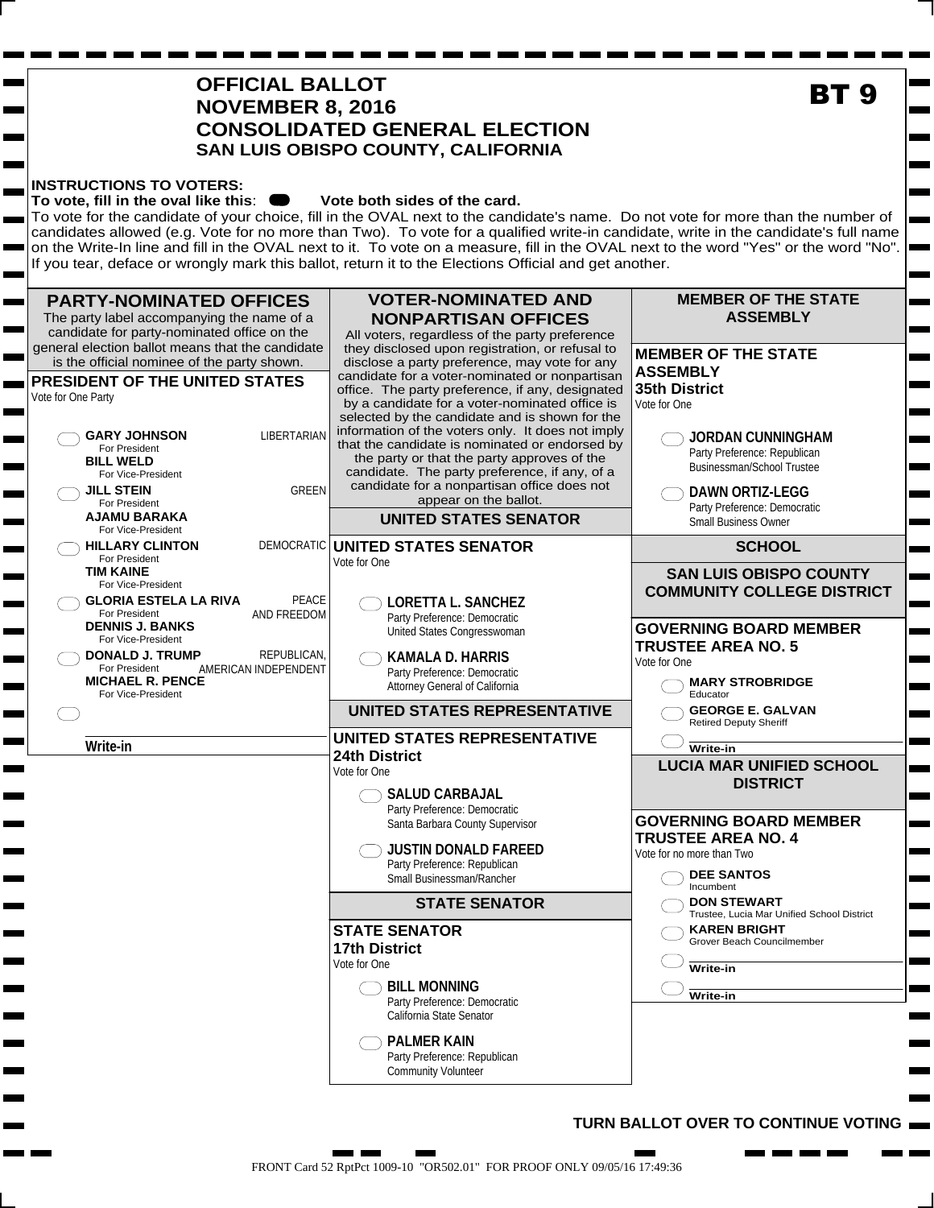# **OFFICIAL BALLOT NOVEMBER 8, 2016 CONSOLIDATED GENERAL ELECTION SAN LUIS OBISPO COUNTY, CALIFORNIA**

#### **INSTRUCTIONS TO VOTERS:**

ь

m.

#### To vote, fill in the oval like this:  $\bullet\bullet\bullet$  Vote both sides of the card.

To vote for the candidate of your choice, fill in the OVAL next to the candidate's name. Do not vote for more than the number of candidates allowed (e.g. Vote for no more than Two). To vote for a qualified write-in candidate, write in the candidate's full name on the Write-In line and fill in the OVAL next to it. To vote on a measure, fill in the OVAL next to the word "Yes" or the word "No". If you tear, deface or wrongly mark this ballot, return it to the Elections Official and get another.



#### **TURN BALLOT OVER TO CONTINUE VOTING**

**BT 9**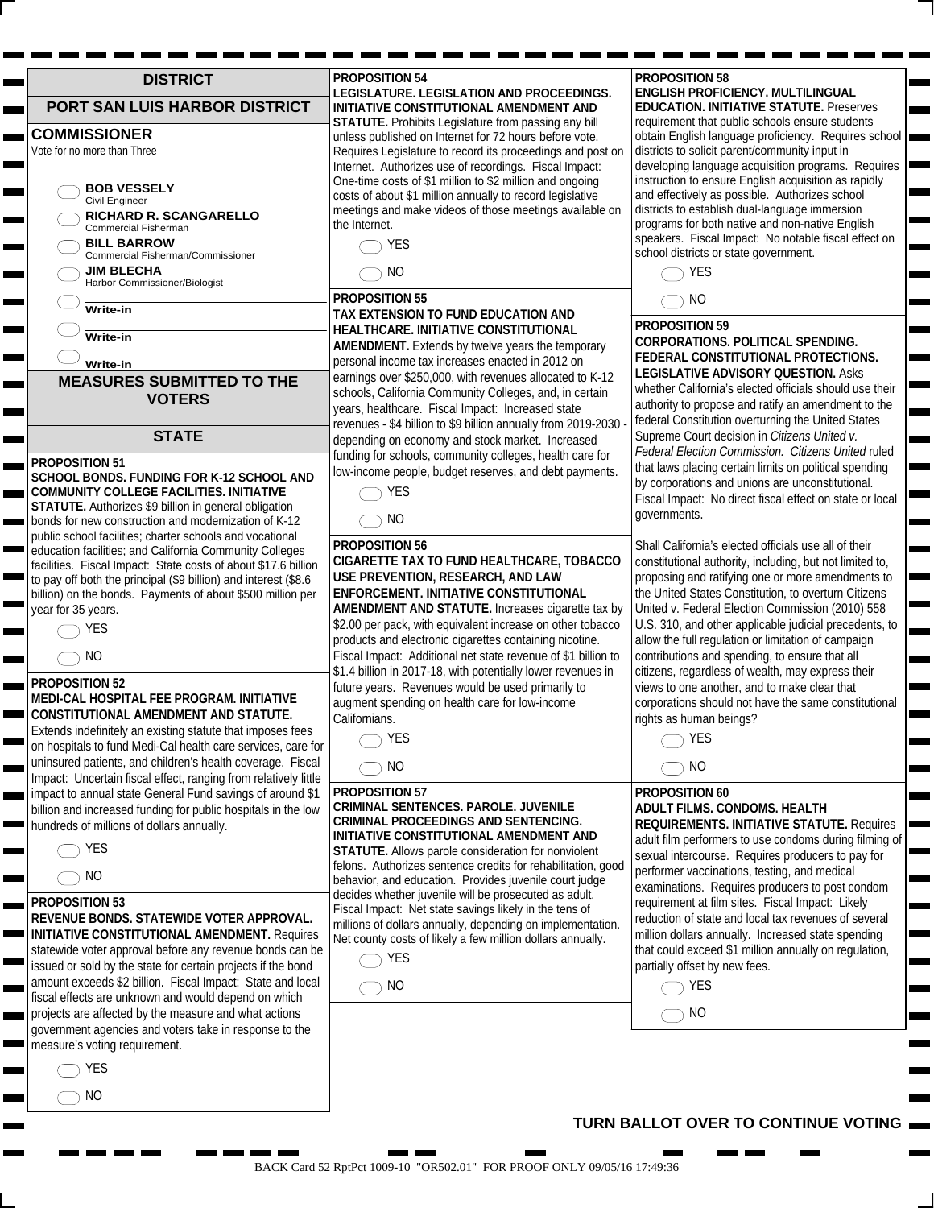| <b>DISTRICT</b>                                                                                                               | <b>PROPOSITION 54</b>                                                                                                    |
|-------------------------------------------------------------------------------------------------------------------------------|--------------------------------------------------------------------------------------------------------------------------|
| PORT SAN LUIS HARBOR DISTRICT                                                                                                 | LEGISLATURE. LEGISLATION AND PROCEEDINGS.<br>INITIATIVE CONSTITUTIONAL AMENDMENT AND                                     |
|                                                                                                                               | STATUTE. Prohibits Legislature from passing any bill                                                                     |
| <b>COMMISSIONER</b><br>Vote for no more than Three                                                                            | unless published on Internet for 72 hours before vote.<br>Requires Legislature to record its proceedings and post on     |
|                                                                                                                               | Internet. Authorizes use of recordings. Fiscal Impact:                                                                   |
| <b>BOB VESSELY</b>                                                                                                            | One-time costs of \$1 million to \$2 million and ongoing                                                                 |
| Civil Engineer                                                                                                                | costs of about \$1 million annually to record legislative<br>meetings and make videos of those meetings available on     |
| <b>RICHARD R. SCANGARELLO</b><br>Commercial Fisherman                                                                         | the Internet.                                                                                                            |
| <b>BILL BARROW</b>                                                                                                            | <b>YES</b>                                                                                                               |
| Commercial Fisherman/Commissioner<br><b>JIM BLECHA</b>                                                                        | NO.                                                                                                                      |
| Harbor Commissioner/Biologist                                                                                                 |                                                                                                                          |
| Write-in                                                                                                                      | <b>PROPOSITION 55</b>                                                                                                    |
|                                                                                                                               | TAX EXTENSION TO FUND EDUCATION AND<br><b>HEALTHCARE. INITIATIVE CONSTITUTIONAL</b>                                      |
| Write-in                                                                                                                      | <b>AMENDMENT.</b> Extends by twelve years the temporary                                                                  |
| Write-in                                                                                                                      | personal income tax increases enacted in 2012 on                                                                         |
| <b>MEASURES SUBMITTED TO THE</b>                                                                                              | earnings over \$250,000, with revenues allocated to K-12<br>schools, California Community Colleges, and, in certain      |
| <b>VOTERS</b>                                                                                                                 | years, healthcare. Fiscal Impact: Increased state                                                                        |
|                                                                                                                               | revenues - \$4 billion to \$9 billion annually from 2019-2030 -                                                          |
| <b>STATE</b>                                                                                                                  | depending on economy and stock market. Increased<br>funding for schools, community colleges, health care for             |
| <b>PROPOSITION 51</b><br>SCHOOL BONDS. FUNDING FOR K-12 SCHOOL AND                                                            | low-income people, budget reserves, and debt payments.                                                                   |
| <b>COMMUNITY COLLEGE FACILITIES. INITIATIVE</b>                                                                               | <b>YES</b>                                                                                                               |
| STATUTE. Authorizes \$9 billion in general obligation                                                                         |                                                                                                                          |
| bonds for new construction and modernization of K-12<br>public school facilities; charter schools and vocational              | NO                                                                                                                       |
| education facilities; and California Community Colleges                                                                       | <b>PROPOSITION 56</b>                                                                                                    |
| facilities. Fiscal Impact: State costs of about \$17.6 billion                                                                | CIGARETTE TAX TO FUND HEALTHCARE, TOBACCO<br>USE PREVENTION, RESEARCH, AND LAW                                           |
| to pay off both the principal (\$9 billion) and interest (\$8.6<br>billion) on the bonds. Payments of about \$500 million per | ENFORCEMENT. INITIATIVE CONSTITUTIONAL                                                                                   |
| year for 35 years.                                                                                                            | AMENDMENT AND STATUTE. Increases cigarette tax by                                                                        |
| <b>YES</b>                                                                                                                    | \$2.00 per pack, with equivalent increase on other tobacco                                                               |
| N <sub>O</sub>                                                                                                                | products and electronic cigarettes containing nicotine.<br>Fiscal Impact: Additional net state revenue of \$1 billion to |
|                                                                                                                               | \$1.4 billion in 2017-18, with potentially lower revenues in                                                             |
| PROPOSITION 52<br>MEDI-CAL HOSPITAL FEE PROGRAM. INITIATIVE                                                                   | future years. Revenues would be used primarily to                                                                        |
| CONSTITUTIONAL AMENDMENT AND STATUTE.                                                                                         | augment spending on health care for low-income<br>Californians.                                                          |
| Extends indefinitely an existing statute that imposes fees                                                                    | YES                                                                                                                      |
| on hospitals to fund Medi-Cal health care services, care for<br>uninsured patients, and children's health coverage. Fiscal    |                                                                                                                          |
| Impact: Uncertain fiscal effect, ranging from relatively little                                                               | <b>NO</b>                                                                                                                |
| impact to annual state General Fund savings of around \$1                                                                     | PROPOSITION 57                                                                                                           |
| billion and increased funding for public hospitals in the low                                                                 | CRIMINAL SENTENCES. PAROLE. JUVENILE<br><b>CRIMINAL PROCEEDINGS AND SENTENCING.</b>                                      |
| hundreds of millions of dollars annually.                                                                                     | INITIATIVE CONSTITUTIONAL AMENDMENT AND                                                                                  |
| YES                                                                                                                           | STATUTE. Allows parole consideration for nonviolent<br>felons. Authorizes sentence credits for rehabilitation, good      |
| <b>NO</b>                                                                                                                     | behavior, and education. Provides juvenile court judge                                                                   |
| <b>PROPOSITION 53</b>                                                                                                         | decides whether juvenile will be prosecuted as adult.                                                                    |
| REVENUE BONDS. STATEWIDE VOTER APPROVAL.                                                                                      | Fiscal Impact: Net state savings likely in the tens of<br>millions of dollars annually, depending on implementation.     |
| <b>INITIATIVE CONSTITUTIONAL AMENDMENT. Requires</b>                                                                          | Net county costs of likely a few million dollars annually.                                                               |
| statewide voter approval before any revenue bonds can be<br>issued or sold by the state for certain projects if the bond      | <b>YES</b>                                                                                                               |
| amount exceeds \$2 billion. Fiscal Impact: State and local                                                                    | <b>NO</b>                                                                                                                |
| fiscal effects are unknown and would depend on which                                                                          |                                                                                                                          |
| projects are affected by the measure and what actions                                                                         |                                                                                                                          |
| government agencies and voters take in response to the<br>measure's voting requirement.                                       |                                                                                                                          |
| <b>YES</b>                                                                                                                    |                                                                                                                          |
|                                                                                                                               |                                                                                                                          |

 $\bigcap$  NO

**PROPOSITION 58**

**ENGLISH PROFICIENCY. MULTILINGUAL EDUCATION. INITIATIVE STATUTE.** Preserves requirement that public schools ensure students obtain English language proficiency. Requires school districts to solicit parent/community input in developing language acquisition programs. Requires instruction to ensure English acquisition as rapidly and effectively as possible. Authorizes school districts to establish dual-language immersion programs for both native and non-native English speakers. Fiscal Impact: No notable fiscal effect on school districts or state government.



**PROPOSITION 59 CORPORATIONS. POLITICAL SPENDING. FEDERAL CONSTITUTIONAL PROTECTIONS. LEGISLATIVE ADVISORY QUESTION.** Asks whether California's elected officials should use their authority to propose and ratify an amendment to the federal Constitution overturning the United States Supreme Court decision in *Citizens United v. Federal Election Commission. Citizens United* ruled that laws placing certain limits on political spending by corporations and unions are unconstitutional. Fiscal Impact: No direct fiscal effect on state or local governments.

Shall California's elected officials use all of their constitutional authority, including, but not limited to, proposing and ratifying one or more amendments to the United States Constitution, to overturn Citizens United v. Federal Election Commission (2010) 558 U.S. 310, and other applicable judicial precedents, to allow the full regulation or limitation of campaign contributions and spending, to ensure that all citizens, regardless of wealth, may express their views to one another, and to make clear that corporations should not have the same constitutional rights as human beings?



# **PROPOSITION 60**

**ADULT FILMS. CONDOMS. HEALTH REQUIREMENTS. INITIATIVE STATUTE.** Requires adult film performers to use condoms during filming of sexual intercourse. Requires producers to pay for performer vaccinations, testing, and medical examinations. Requires producers to post condom requirement at film sites. Fiscal Impact: Likely reduction of state and local tax revenues of several million dollars annually. Increased state spending that could exceed \$1 million annually on regulation, partially offset by new fees.

m.

 $\bigcap$  YES  $\bigcirc$  NO

## **TURN BALLOT OVER TO CONTINUE VOTING**